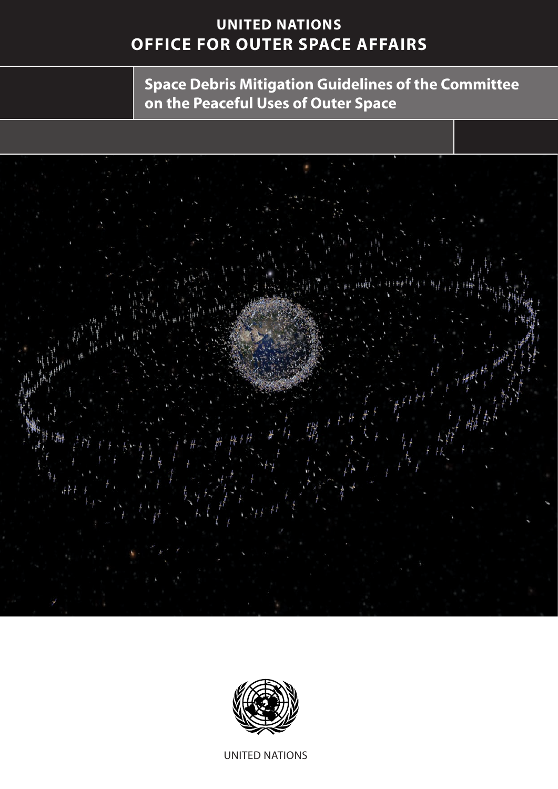# **UNITED NATIONS OFFICE FOR OUTER SPACE AFFAIRS**

**Space Debris Mitigation Guidelines of the Committee on the Peaceful Uses of Outer Space**





UNITED NATIONS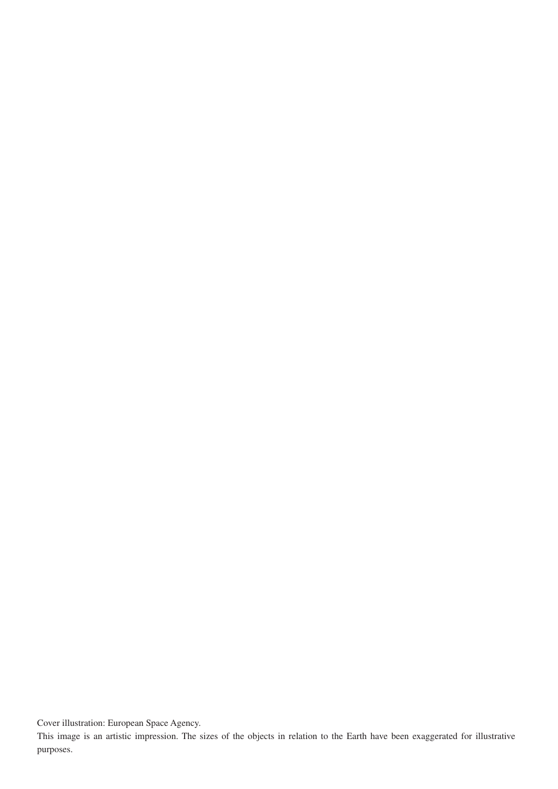Cover illustration: European Space Agency.

This image is an artistic impression. The sizes of the objects in relation to the Earth have been exaggerated for illustrative purposes.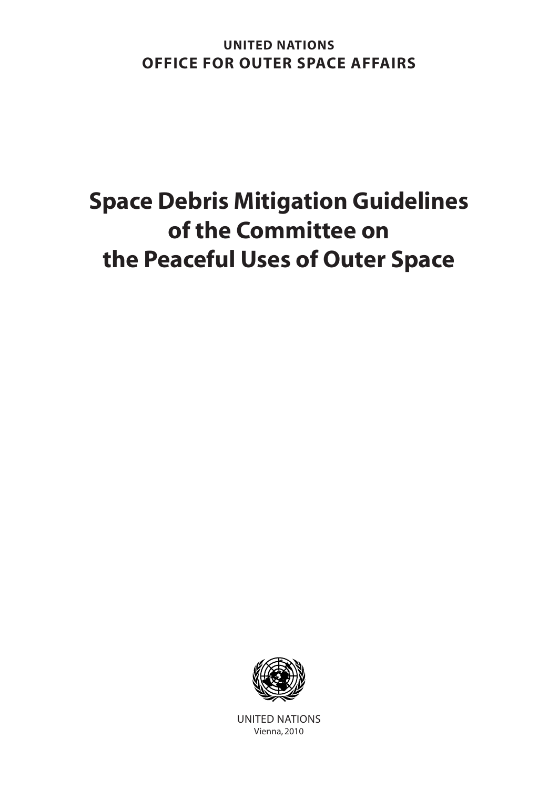# **Space Debris Mitigation Guidelines of the Committee on the Peaceful Uses of Outer Space**



UNITED NATIONS Vienna, 2010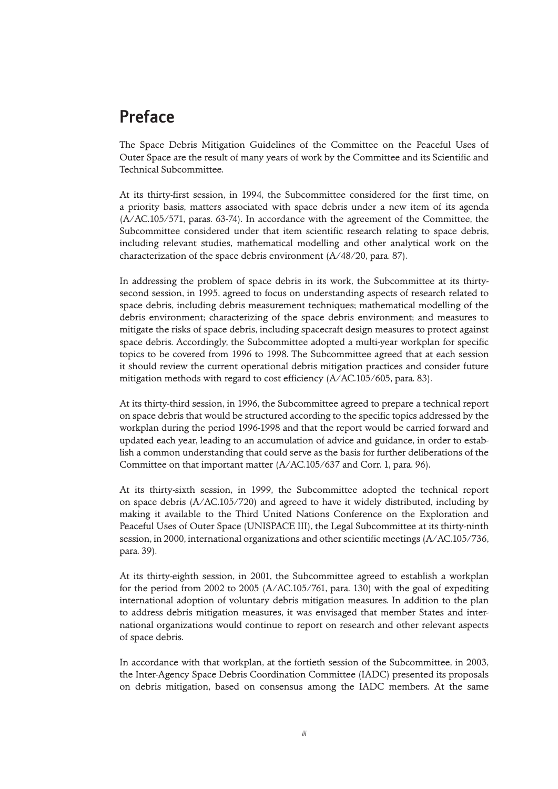# **Preface**

The Space Debris Mitigation Guidelines of the Committee on the Peaceful Uses of Outer Space are the result of many years of work by the Committee and its Scientific and Technical Subcommittee.

At its thirty-first session, in 1994, the Subcommittee considered for the first time, on a priority basis, matters associated with space debris under a new item of its agenda (A/AC.105/571, paras. 63-74). In accordance with the agreement of the Committee, the Subcommittee considered under that item scientific research relating to space debris, including relevant studies, mathematical modelling and other analytical work on the characterization of the space debris environment (A/48/20, para. 87).

In addressing the problem of space debris in its work, the Subcommittee at its thirtysecond session, in 1995, agreed to focus on understanding aspects of research related to space debris, including debris measurement techniques; mathematical modelling of the debris environment; characterizing of the space debris environment; and measures to mitigate the risks of space debris, including spacecraft design measures to protect against space debris. Accordingly, the Subcommittee adopted a multi-year workplan for specific topics to be covered from 1996 to 1998. The Subcommittee agreed that at each session it should review the current operational debris mitigation practices and consider future mitigation methods with regard to cost efficiency (A/AC.105/605, para. 83).

At its thirty-third session, in 1996, the Subcommittee agreed to prepare a technical report on space debris that would be structured according to the specific topics addressed by the workplan during the period 1996-1998 and that the report would be carried forward and updated each year, leading to an accumulation of advice and guidance, in order to establish a common understanding that could serve as the basis for further deliberations of the Committee on that important matter (A/AC.105/637 and Corr. 1, para. 96).

At its thirty-sixth session, in 1999, the Subcommittee adopted the technical report on space debris (A/AC.105/720) and agreed to have it widely distributed, including by making it available to the Third United Nations Conference on the Exploration and Peaceful Uses of Outer Space (UNISPACE III), the Legal Subcommittee at its thirty-ninth session, in 2000, international organizations and other scientific meetings (A/AC.105/736, para. 39).

At its thirty-eighth session, in 2001, the Subcommittee agreed to establish a workplan for the period from 2002 to 2005 (A/AC.105/761, para. 130) with the goal of expediting international adoption of voluntary debris mitigation measures. In addition to the plan to address debris mitigation measures, it was envisaged that member States and international organizations would continue to report on research and other relevant aspects of space debris.

In accordance with that workplan, at the fortieth session of the Subcommittee, in 2003, the Inter-Agency Space Debris Coordination Committee (IADC) presented its proposals on debris mitigation, based on consensus among the IADC members. At the same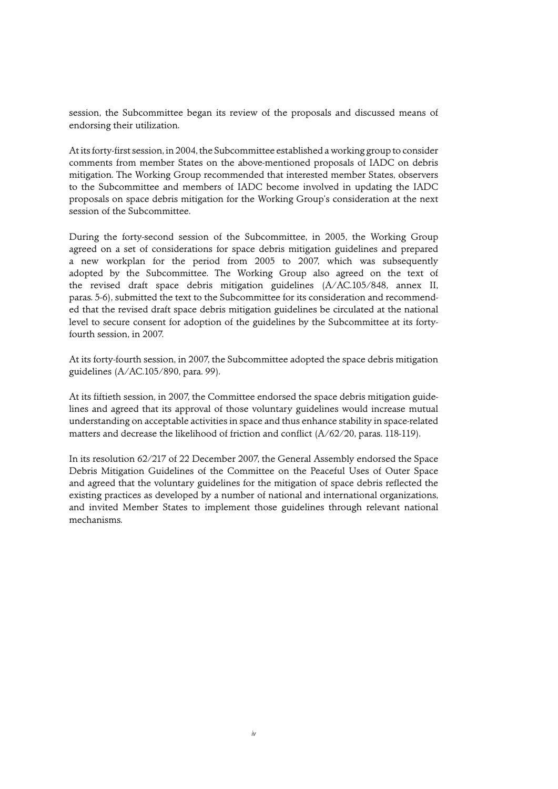session, the Subcommittee began its review of the proposals and discussed means of endorsing their utilization.

At its forty-first session, in 2004, the Subcommittee established a working group to consider comments from member States on the above-mentioned proposals of IADC on debris mitigation. The Working Group recommended that interested member States, observers to the Subcommittee and members of IADC become involved in updating the IADC proposals on space debris mitigation for the Working Group's consideration at the next session of the Subcommittee.

During the forty-second session of the Subcommittee, in 2005, the Working Group agreed on a set of considerations for space debris mitigation guidelines and prepared a new workplan for the period from 2005 to 2007, which was subsequently adopted by the Subcommittee. The Working Group also agreed on the text of the revised draft space debris mitigation guidelines (A/AC.105/848, annex II, paras. 5-6), submitted the text to the Subcommittee for its consideration and recommended that the revised draft space debris mitigation guidelines be circulated at the national level to secure consent for adoption of the guidelines by the Subcommittee at its fortyfourth session, in 2007.

At its forty-fourth session, in 2007, the Subcommittee adopted the space debris mitigation guidelines (A/AC.105/890, para. 99).

At its fiftieth session, in 2007, the Committee endorsed the space debris mitigation guidelines and agreed that its approval of those voluntary guidelines would increase mutual understanding on acceptable activities in space and thus enhance stability in space-related matters and decrease the likelihood of friction and conflict (A/62/20, paras. 118-119).

In its resolution 62/217 of 22 December 2007, the General Assembly endorsed the Space Debris Mitigation Guidelines of the Committee on the Peaceful Uses of Outer Space and agreed that the voluntary guidelines for the mitigation of space debris reflected the existing practices as developed by a number of national and international organizations, and invited Member States to implement those guidelines through relevant national mechanisms.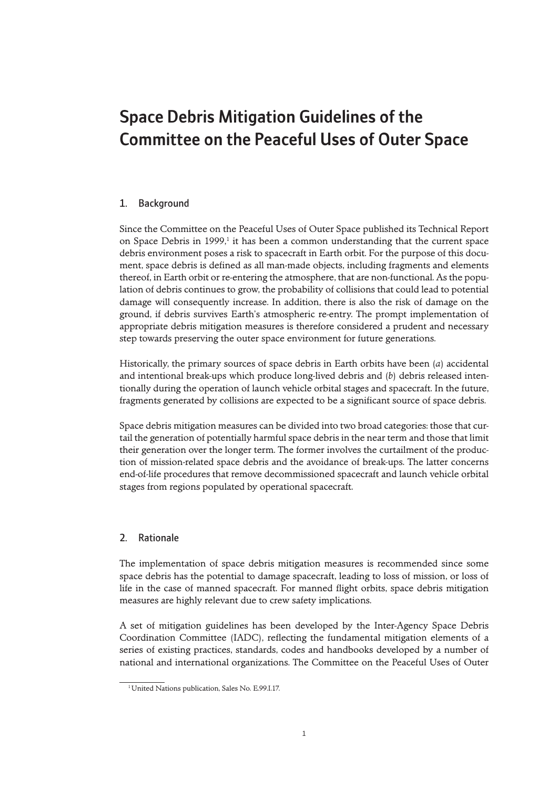# **Space Debris Mitigation Guidelines of the Committee on the Peaceful Uses of Outer Space**

## **1. Background**

Since the Committee on the Peaceful Uses of Outer Space published its Technical Report on Space Debris in  $1999<sup>1</sup>$  it has been a common understanding that the current space debris environment poses a risk to spacecraft in Earth orbit. For the purpose of this document, space debris is defined as all man-made objects, including fragments and elements thereof, in Earth orbit or re-entering the atmosphere, that are non-functional. As the population of debris continues to grow, the probability of collisions that could lead to potential damage will consequently increase. In addition, there is also the risk of damage on the ground, if debris survives Earth's atmospheric re-entry. The prompt implementation of appropriate debris mitigation measures is therefore considered a prudent and necessary step towards preserving the outer space environment for future generations.

Historically, the primary sources of space debris in Earth orbits have been (*a*) accidental and intentional break-ups which produce long-lived debris and (*b*) debris released intentionally during the operation of launch vehicle orbital stages and spacecraft. In the future, fragments generated by collisions are expected to be a significant source of space debris.

Space debris mitigation measures can be divided into two broad categories: those that curtail the generation of potentially harmful space debris in the near term and those that limit their generation over the longer term. The former involves the curtailment of the production of mission-related space debris and the avoidance of break-ups. The latter concerns end-of-life procedures that remove decommissioned spacecraft and launch vehicle orbital stages from regions populated by operational spacecraft.

#### **2. Rationale**

The implementation of space debris mitigation measures is recommended since some space debris has the potential to damage spacecraft, leading to loss of mission, or loss of life in the case of manned spacecraft. For manned flight orbits, space debris mitigation measures are highly relevant due to crew safety implications.

A set of mitigation guidelines has been developed by the Inter-Agency Space Debris Coordination Committee (IADC), reflecting the fundamental mitigation elements of a series of existing practices, standards, codes and handbooks developed by a number of national and international organizations. The Committee on the Peaceful Uses of Outer

<sup>&</sup>lt;sup>1</sup>United Nations publication, Sales No. E.99.I.17.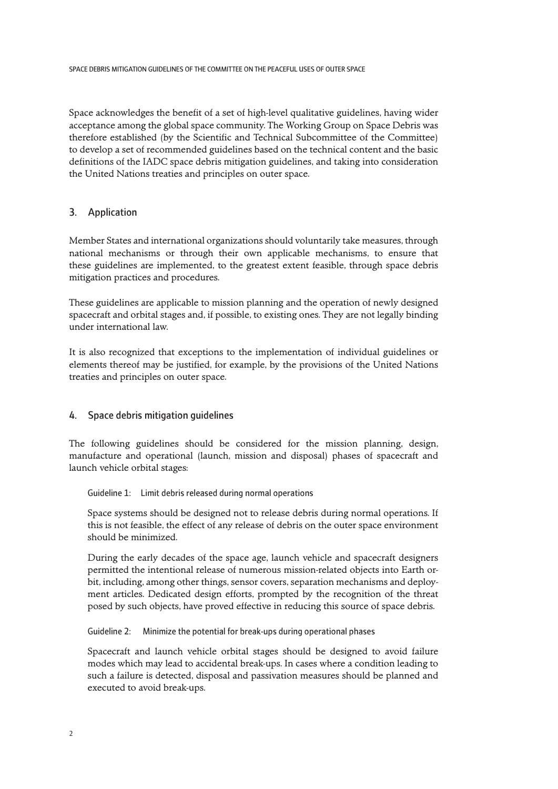**SPACE DEBRIS MITIGATION GUIDELINES OF THE COMMITTEE ON THE PEACEFUL USES OF OUTER SPACE**

Space acknowledges the benefit of a set of high-level qualitative guidelines, having wider acceptance among the global space community. The Working Group on Space Debris was therefore established (by the Scientific and Technical Subcommittee of the Committee) to develop a set of recommended guidelines based on the technical content and the basic definitions of the IADC space debris mitigation guidelines, and taking into consideration the United Nations treaties and principles on outer space.

## **3. Application**

Member States and international organizations should voluntarily take measures, through national mechanisms or through their own applicable mechanisms, to ensure that these guidelines are implemented, to the greatest extent feasible, through space debris mitigation practices and procedures.

These guidelines are applicable to mission planning and the operation of newly designed spacecraft and orbital stages and, if possible, to existing ones. They are not legally binding under international law.

It is also recognized that exceptions to the implementation of individual guidelines or elements thereof may be justified, for example, by the provisions of the United Nations treaties and principles on outer space.

## **4. Space debris mitigation guidelines**

The following guidelines should be considered for the mission planning, design, manufacture and operational (launch, mission and disposal) phases of spacecraft and launch vehicle orbital stages:

Guideline 1: Limit debris released during normal operations

Space systems should be designed not to release debris during normal operations. If this is not feasible, the effect of any release of debris on the outer space environment should be minimized.

During the early decades of the space age, launch vehicle and spacecraft designers permitted the intentional release of numerous mission-related objects into Earth orbit, including, among other things, sensor covers, separation mechanisms and deployment articles. Dedicated design efforts, prompted by the recognition of the threat posed by such objects, have proved effective in reducing this source of space debris.

Guideline 2: Minimize the potential for break-ups during operational phases

Spacecraft and launch vehicle orbital stages should be designed to avoid failure modes which may lead to accidental break-ups. In cases where a condition leading to such a failure is detected, disposal and passivation measures should be planned and executed to avoid break-ups.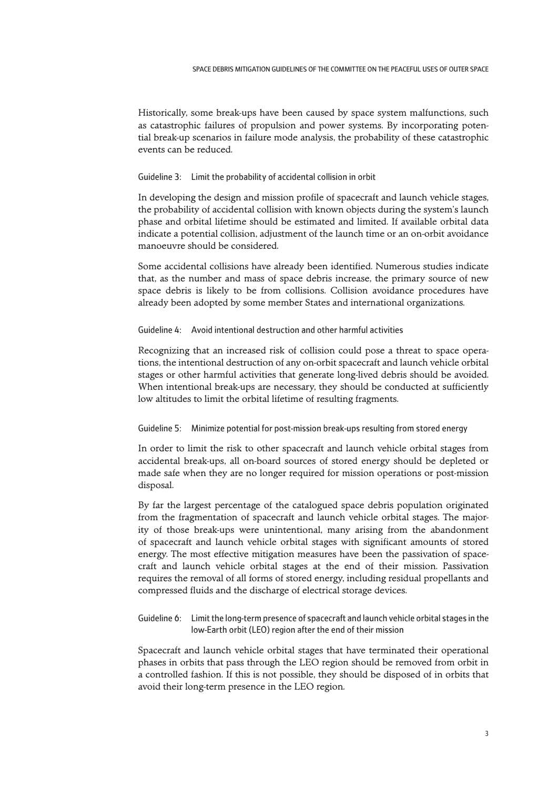Historically, some break-ups have been caused by space system malfunctions, such as catastrophic failures of propulsion and power systems. By incorporating potential break-up scenarios in failure mode analysis, the probability of these catastrophic events can be reduced.

#### Guideline 3: Limit the probability of accidental collision in orbit

In developing the design and mission profile of spacecraft and launch vehicle stages, the probability of accidental collision with known objects during the system's launch phase and orbital lifetime should be estimated and limited. If available orbital data indicate a potential collision, adjustment of the launch time or an on-orbit avoidance manoeuvre should be considered.

Some accidental collisions have already been identified. Numerous studies indicate that, as the number and mass of space debris increase, the primary source of new space debris is likely to be from collisions. Collision avoidance procedures have already been adopted by some member States and international organizations.

#### Guideline 4: Avoid intentional destruction and other harmful activities

Recognizing that an increased risk of collision could pose a threat to space operations, the intentional destruction of any on-orbit spacecraft and launch vehicle orbital stages or other harmful activities that generate long-lived debris should be avoided. When intentional break-ups are necessary, they should be conducted at sufficiently low altitudes to limit the orbital lifetime of resulting fragments.

#### Guideline 5: Minimize potential for post-mission break-ups resulting from stored energy

In order to limit the risk to other spacecraft and launch vehicle orbital stages from accidental break-ups, all on-board sources of stored energy should be depleted or made safe when they are no longer required for mission operations or post-mission disposal.

By far the largest percentage of the catalogued space debris population originated from the fragmentation of spacecraft and launch vehicle orbital stages. The majority of those break-ups were unintentional, many arising from the abandonment of spacecraft and launch vehicle orbital stages with significant amounts of stored energy. The most effective mitigation measures have been the passivation of spacecraft and launch vehicle orbital stages at the end of their mission. Passivation requires the removal of all forms of stored energy, including residual propellants and compressed fluids and the discharge of electrical storage devices.

### Guideline 6: Limit the long-term presence of spacecraft and launch vehicle orbital stages in the low-Earth orbit (LEO) region after the end of their mission

Spacecraft and launch vehicle orbital stages that have terminated their operational phases in orbits that pass through the LEO region should be removed from orbit in a controlled fashion. If this is not possible, they should be disposed of in orbits that avoid their long-term presence in the LEO region.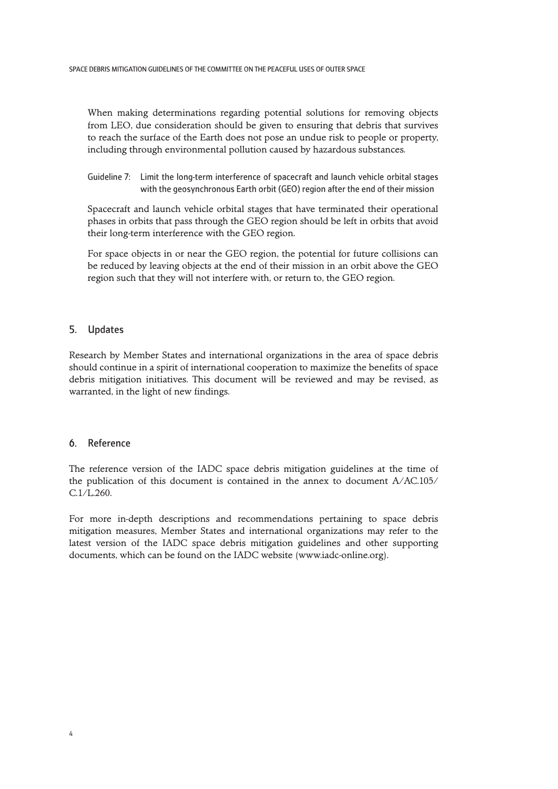When making determinations regarding potential solutions for removing objects from LEO, due consideration should be given to ensuring that debris that survives to reach the surface of the Earth does not pose an undue risk to people or property, including through environmental pollution caused by hazardous substances.

Guideline 7: Limit the long-term interference of spacecraft and launch vehicle orbital stages with the geosynchronous Earth orbit (GEO) region after the end of their mission

Spacecraft and launch vehicle orbital stages that have terminated their operational phases in orbits that pass through the GEO region should be left in orbits that avoid their long-term interference with the GEO region.

For space objects in or near the GEO region, the potential for future collisions can be reduced by leaving objects at the end of their mission in an orbit above the GEO region such that they will not interfere with, or return to, the GEO region.

#### **5. Updates**

Research by Member States and international organizations in the area of space debris should continue in a spirit of international cooperation to maximize the benefits of space debris mitigation initiatives. This document will be reviewed and may be revised, as warranted, in the light of new findings.

### **6. Reference**

The reference version of the IADC space debris mitigation guidelines at the time of the publication of this document is contained in the annex to document  $A/AC.105/$ C.1/L.260.

For more in-depth descriptions and recommendations pertaining to space debris mitigation measures, Member States and international organizations may refer to the latest version of the IADC space debris mitigation guidelines and other supporting documents, which can be found on the IADC website (www.iadc-online.org).